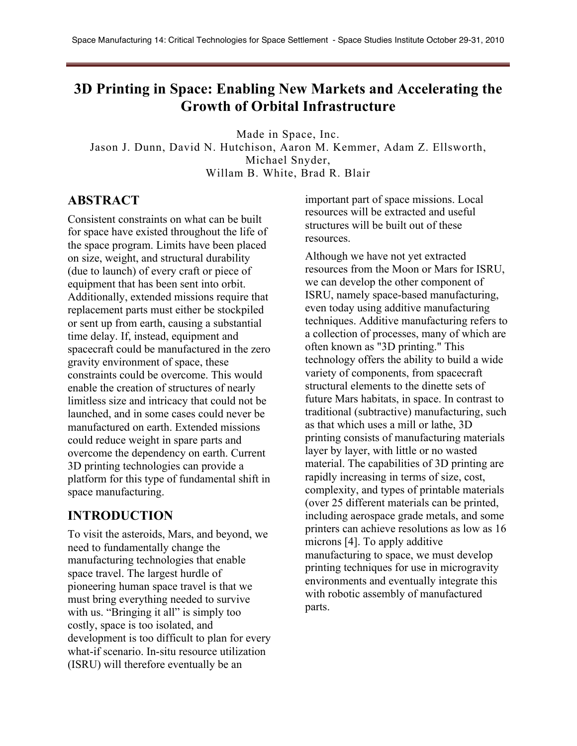# **3D Printing in Space: Enabling New Markets and Accelerating the Growth of Orbital Infrastructure**

Made in Space, Inc.

Jason J. Dunn, David N. Hutchison, Aaron M. Kemmer, Adam Z. Ellsworth, Michael Snyder, Willam B. White, Brad R. Blair

# **ABSTRACT**

Consistent constraints on what can be built for space have existed throughout the life of the space program. Limits have been placed on size, weight, and structural durability (due to launch) of every craft or piece of equipment that has been sent into orbit. Additionally, extended missions require that replacement parts must either be stockpiled or sent up from earth, causing a substantial time delay. If, instead, equipment and spacecraft could be manufactured in the zero gravity environment of space, these constraints could be overcome. This would enable the creation of structures of nearly limitless size and intricacy that could not be launched, and in some cases could never be manufactured on earth. Extended missions could reduce weight in spare parts and overcome the dependency on earth. Current 3D printing technologies can provide a platform for this type of fundamental shift in space manufacturing.

# **INTRODUCTION**

To visit the asteroids, Mars, and beyond, we need to fundamentally change the manufacturing technologies that enable space travel. The largest hurdle of pioneering human space travel is that we must bring everything needed to survive with us. "Bringing it all" is simply too costly, space is too isolated, and development is too difficult to plan for every what-if scenario. In-situ resource utilization (ISRU) will therefore eventually be an

important part of space missions. Local resources will be extracted and useful structures will be built out of these resources.

Although we have not yet extracted resources from the Moon or Mars for ISRU, we can develop the other component of ISRU, namely space-based manufacturing, even today using additive manufacturing techniques. Additive manufacturing refers to a collection of processes, many of which are often known as "3D printing." This technology offers the ability to build a wide variety of components, from spacecraft structural elements to the dinette sets of future Mars habitats, in space. In contrast to traditional (subtractive) manufacturing, such as that which uses a mill or lathe, 3D printing consists of manufacturing materials layer by layer, with little or no wasted material. The capabilities of 3D printing are rapidly increasing in terms of size, cost, complexity, and types of printable materials (over 25 different materials can be printed, including aerospace grade metals, and some printers can achieve resolutions as low as 16 microns [4]. To apply additive manufacturing to space, we must develop printing techniques for use in microgravity environments and eventually integrate this with robotic assembly of manufactured parts.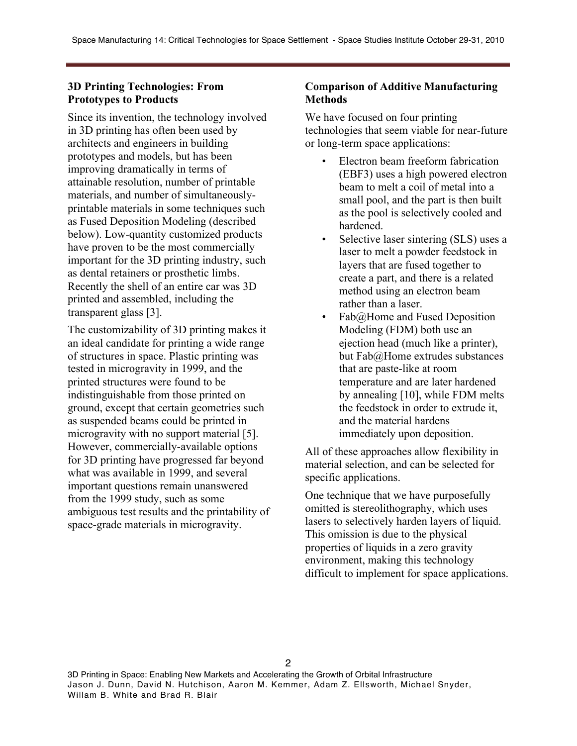# **3D Printing Technologies: From Prototypes to Products**

Since its invention, the technology involved in 3D printing has often been used by architects and engineers in building prototypes and models, but has been improving dramatically in terms of attainable resolution, number of printable materials, and number of simultaneouslyprintable materials in some techniques such as Fused Deposition Modeling (described below). Low-quantity customized products have proven to be the most commercially important for the 3D printing industry, such as dental retainers or prosthetic limbs. Recently the shell of an entire car was 3D printed and assembled, including the transparent glass [3].

The customizability of 3D printing makes it an ideal candidate for printing a wide range of structures in space. Plastic printing was tested in microgravity in 1999, and the printed structures were found to be indistinguishable from those printed on ground, except that certain geometries such as suspended beams could be printed in microgravity with no support material [5]. However, commercially-available options for 3D printing have progressed far beyond what was available in 1999, and several important questions remain unanswered from the 1999 study, such as some ambiguous test results and the printability of space-grade materials in microgravity.

# **Comparison of Additive Manufacturing Methods**

We have focused on four printing technologies that seem viable for near-future or long-term space applications:

- Electron beam freeform fabrication (EBF3) uses a high powered electron beam to melt a coil of metal into a small pool, and the part is then built as the pool is selectively cooled and hardened.
- Selective laser sintering (SLS) uses a laser to melt a powder feedstock in layers that are fused together to create a part, and there is a related method using an electron beam rather than a laser.
- Fab@Home and Fused Deposition Modeling (FDM) both use an ejection head (much like a printer), but Fab@Home extrudes substances that are paste-like at room temperature and are later hardened by annealing [10], while FDM melts the feedstock in order to extrude it, and the material hardens immediately upon deposition.

All of these approaches allow flexibility in material selection, and can be selected for specific applications.

One technique that we have purposefully omitted is stereolithography, which uses lasers to selectively harden layers of liquid. This omission is due to the physical properties of liquids in a zero gravity environment, making this technology difficult to implement for space applications.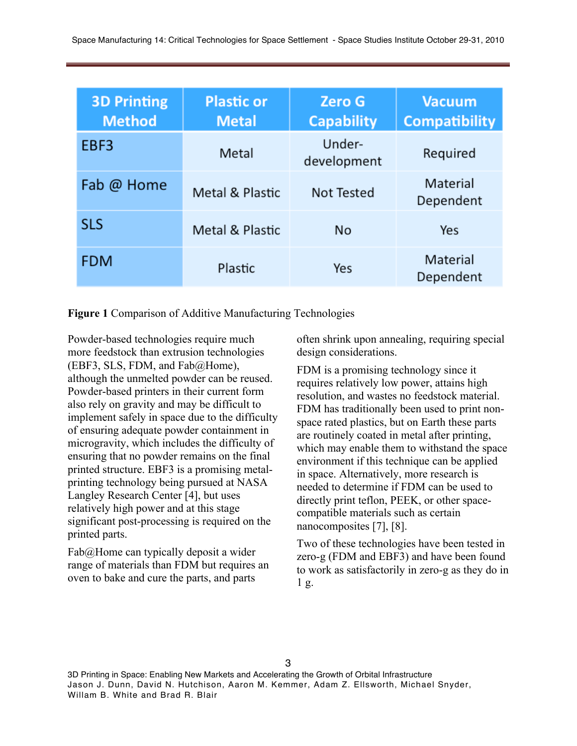| <b>3D Printing</b><br><b>Method</b> | <b>Plastic or</b><br><b>Metal</b> | <b>Zero G</b><br><b>Capability</b> | <b>Vacuum</b><br><b>Compatibility</b> |
|-------------------------------------|-----------------------------------|------------------------------------|---------------------------------------|
| EBF3                                | Metal                             | Under-<br>development              | Required                              |
| Fab @ Home                          | Metal & Plastic                   | Not Tested                         | Material<br>Dependent                 |
| <b>SLS</b>                          | Metal & Plastic                   | <b>No</b>                          | Yes                                   |
| <b>FDM</b>                          | Plastic                           | Yes                                | Material<br>Dependent                 |

**Figure 1** Comparison of Additive Manufacturing Technologies

Powder-based technologies require much more feedstock than extrusion technologies (EBF3, SLS, FDM, and Fab@Home), although the unmelted powder can be reused. Powder-based printers in their current form also rely on gravity and may be difficult to implement safely in space due to the difficulty of ensuring adequate powder containment in microgravity, which includes the difficulty of ensuring that no powder remains on the final printed structure. EBF3 is a promising metalprinting technology being pursued at NASA Langley Research Center [4], but uses relatively high power and at this stage significant post-processing is required on the printed parts.

Fab@Home can typically deposit a wider range of materials than FDM but requires an oven to bake and cure the parts, and parts

often shrink upon annealing, requiring special design considerations.

FDM is a promising technology since it requires relatively low power, attains high resolution, and wastes no feedstock material. FDM has traditionally been used to print nonspace rated plastics, but on Earth these parts are routinely coated in metal after printing, which may enable them to withstand the space environment if this technique can be applied in space. Alternatively, more research is needed to determine if FDM can be used to directly print teflon, PEEK, or other spacecompatible materials such as certain nanocomposites [7], [8].

Two of these technologies have been tested in zero-g (FDM and EBF3) and have been found to work as satisfactorily in zero-g as they do in 1 g.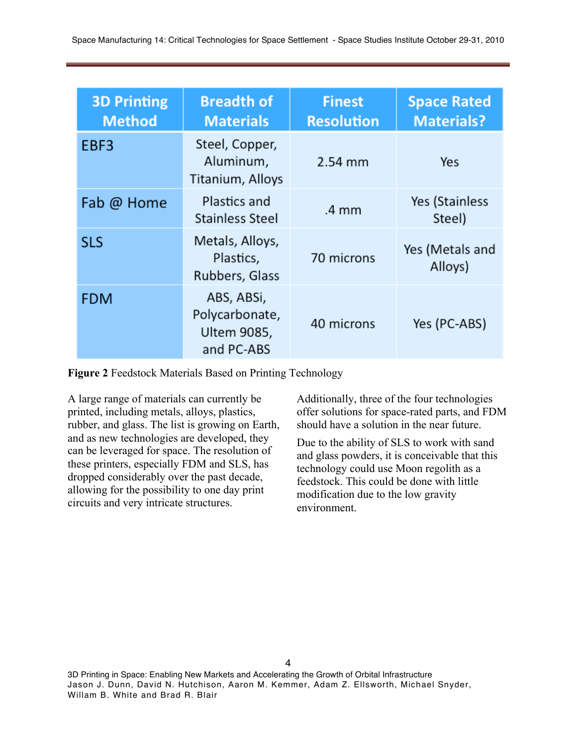| <b>3D Printing</b><br><b>Method</b> | <b>Breadth of</b><br><b>Materials</b>                     | <b>Finest</b><br><b>Resolution</b> | <b>Space Rated</b><br><b>Materials?</b> |
|-------------------------------------|-----------------------------------------------------------|------------------------------------|-----------------------------------------|
| EBF3                                | Steel, Copper,<br>Aluminum,<br>Titanium, Alloys           | 2.54 mm                            | Yes                                     |
| Fab @ Home                          | Plastics and<br><b>Stainless Steel</b>                    | $.4 \, \mathrm{mm}$                | Yes (Stainless<br>Steel)                |
| <b>SLS</b>                          | Metals, Alloys,<br>Plastics,<br>Rubbers, Glass            | 70 microns                         | Yes (Metals and<br>Alloys)              |
| <b>FDM</b>                          | ABS, ABSi,<br>Polycarbonate,<br>Ultem 9085,<br>and PC-ABS | 40 microns                         | Yes (PC-ABS)                            |

**Figure 2** Feedstock Materials Based on Printing Technology

A large range of materials can currently be printed, including metals, alloys, plastics, rubber, and glass. The list is growing on Earth, and as new technologies are developed, they can be leveraged for space. The resolution of these printers, especially FDM and SLS, has dropped considerably over the past decade, allowing for the possibility to one day print circuits and very intricate structures.

Additionally, three of the four technologies offer solutions for space-rated parts, and FDM should have a solution in the near future.

Due to the ability of SLS to work with sand and glass powders, it is conceivable that this technology could use Moon regolith as a feedstock. This could be done with little modification due to the low gravity environment.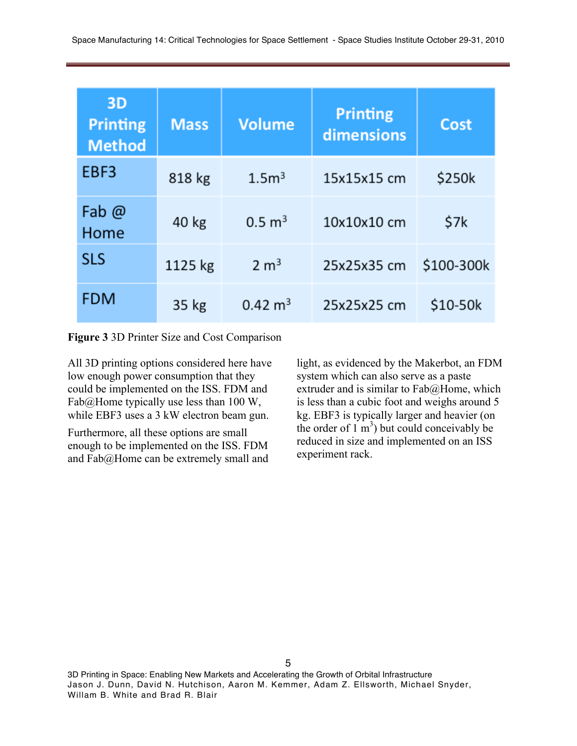| <b>3D</b><br><b>Printing</b><br><b>Method</b> | <b>Mass</b> | <b>Volume</b>      | <b>Printing</b><br>dimensions | Cost       |
|-----------------------------------------------|-------------|--------------------|-------------------------------|------------|
| EBF3                                          | 818 kg      | 1.5 <sup>3</sup>   | 15x15x15 cm                   | \$250k     |
| Fab $@$<br>Home                               | 40 kg       | $0.5 \text{ m}^3$  | 10x10x10 cm                   | \$7k       |
| <b>SLS</b>                                    | 1125 kg     | 2 m <sup>3</sup>   | 25x25x35 cm                   | \$100-300k |
| <b>FDM</b>                                    | 35 kg       | $0.42 \text{ m}^3$ | 25x25x25 cm                   | \$10-50k   |

**Figure 3** 3D Printer Size and Cost Comparison

All 3D printing options considered here have low enough power consumption that they could be implemented on the ISS. FDM and Fab $@$ Home typically use less than 100 W, while EBF3 uses a 3 kW electron beam gun.

Furthermore, all these options are small enough to be implemented on the ISS. FDM and Fab@Home can be extremely small and light, as evidenced by the Makerbot, an FDM system which can also serve as a paste extruder and is similar to Fab@Home, which is less than a cubic foot and weighs around 5 kg. EBF3 is typically larger and heavier (on the order of  $1 \text{ m}^3$ ) but could conceivably be reduced in size and implemented on an ISS experiment rack.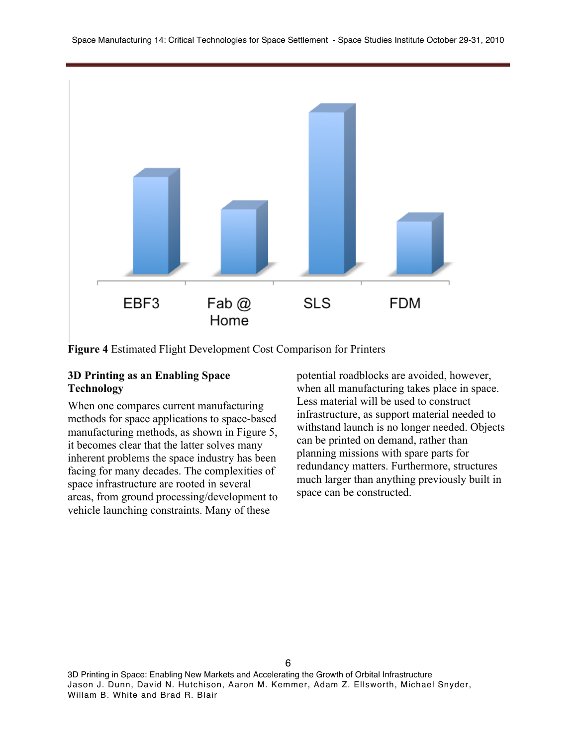

**Figure 4** Estimated Flight Development Cost Comparison for Printers

# **3D Printing as an Enabling Space Technology**

When one compares current manufacturing methods for space applications to space-based manufacturing methods, as shown in Figure 5, it becomes clear that the latter solves many inherent problems the space industry has been facing for many decades. The complexities of space infrastructure are rooted in several areas, from ground processing/development to vehicle launching constraints. Many of these

potential roadblocks are avoided, however, when all manufacturing takes place in space. Less material will be used to construct infrastructure, as support material needed to withstand launch is no longer needed. Objects can be printed on demand, rather than planning missions with spare parts for redundancy matters. Furthermore, structures much larger than anything previously built in space can be constructed.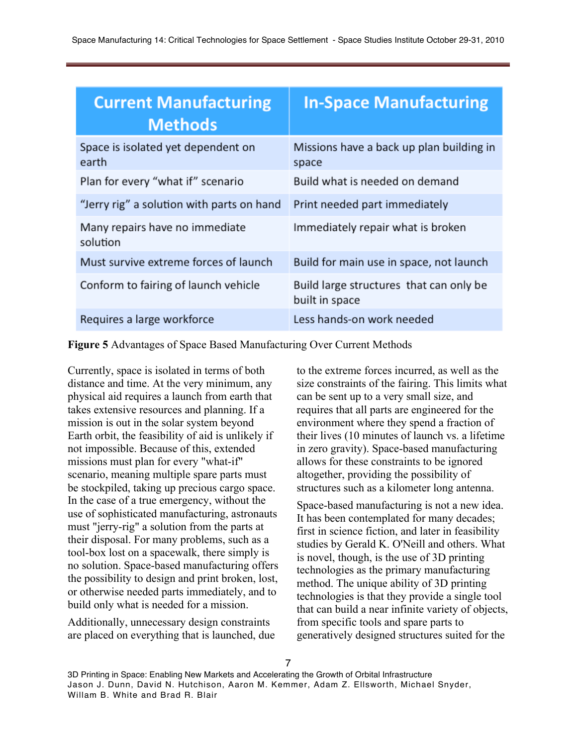| <b>Current Manufacturing</b><br><b>Methods</b> | <b>In-Space Manufacturing</b>                             |  |
|------------------------------------------------|-----------------------------------------------------------|--|
| Space is isolated yet dependent on<br>earth    | Missions have a back up plan building in<br>space         |  |
| Plan for every "what if" scenario              | Build what is needed on demand                            |  |
| "Jerry rig" a solution with parts on hand      | Print needed part immediately                             |  |
| Many repairs have no immediate<br>solution     | Immediately repair what is broken                         |  |
| Must survive extreme forces of launch          | Build for main use in space, not launch                   |  |
| Conform to fairing of launch vehicle           | Build large structures that can only be<br>built in space |  |
| Requires a large workforce                     | Less hands-on work needed                                 |  |

**Figure 5** Advantages of Space Based Manufacturing Over Current Methods

Currently, space is isolated in terms of both distance and time. At the very minimum, any physical aid requires a launch from earth that takes extensive resources and planning. If a mission is out in the solar system beyond Earth orbit, the feasibility of aid is unlikely if not impossible. Because of this, extended missions must plan for every "what-if" scenario, meaning multiple spare parts must be stockpiled, taking up precious cargo space. In the case of a true emergency, without the use of sophisticated manufacturing, astronauts must "jerry-rig" a solution from the parts at their disposal. For many problems, such as a tool-box lost on a spacewalk, there simply is no solution. Space-based manufacturing offers the possibility to design and print broken, lost, or otherwise needed parts immediately, and to build only what is needed for a mission.

Additionally, unnecessary design constraints are placed on everything that is launched, due to the extreme forces incurred, as well as the size constraints of the fairing. This limits what can be sent up to a very small size, and requires that all parts are engineered for the environment where they spend a fraction of their lives (10 minutes of launch vs. a lifetime in zero gravity). Space-based manufacturing allows for these constraints to be ignored altogether, providing the possibility of structures such as a kilometer long antenna.

Space-based manufacturing is not a new idea. It has been contemplated for many decades; first in science fiction, and later in feasibility studies by Gerald K. O'Neill and others. What is novel, though, is the use of 3D printing technologies as the primary manufacturing method. The unique ability of 3D printing technologies is that they provide a single tool that can build a near infinite variety of objects, from specific tools and spare parts to generatively designed structures suited for the

<sup>3</sup>D Printing in Space: Enabling New Markets and Accelerating the Growth of Orbital Infrastructure Jason J. Dunn, David N. Hutchison, Aaron M. Kemmer, Adam Z. Ellsworth, Michael Snyder, Willam B. White and Brad R. Blair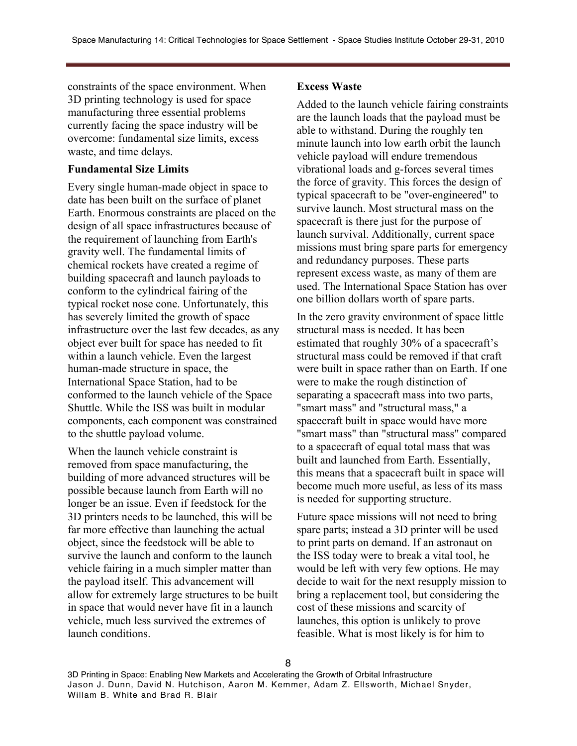constraints of the space environment. When 3D printing technology is used for space manufacturing three essential problems currently facing the space industry will be overcome: fundamental size limits, excess waste, and time delays.

#### **Fundamental Size Limits**

Every single human-made object in space to date has been built on the surface of planet Earth. Enormous constraints are placed on the design of all space infrastructures because of the requirement of launching from Earth's gravity well. The fundamental limits of chemical rockets have created a regime of building spacecraft and launch payloads to conform to the cylindrical fairing of the typical rocket nose cone. Unfortunately, this has severely limited the growth of space infrastructure over the last few decades, as any object ever built for space has needed to fit within a launch vehicle. Even the largest human-made structure in space, the International Space Station, had to be conformed to the launch vehicle of the Space Shuttle. While the ISS was built in modular components, each component was constrained to the shuttle payload volume.

When the launch vehicle constraint is removed from space manufacturing, the building of more advanced structures will be possible because launch from Earth will no longer be an issue. Even if feedstock for the 3D printers needs to be launched, this will be far more effective than launching the actual object, since the feedstock will be able to survive the launch and conform to the launch vehicle fairing in a much simpler matter than the payload itself. This advancement will allow for extremely large structures to be built in space that would never have fit in a launch vehicle, much less survived the extremes of launch conditions.

#### **Excess Waste**

Added to the launch vehicle fairing constraints are the launch loads that the payload must be able to withstand. During the roughly ten minute launch into low earth orbit the launch vehicle payload will endure tremendous vibrational loads and g-forces several times the force of gravity. This forces the design of typical spacecraft to be "over-engineered" to survive launch. Most structural mass on the spacecraft is there just for the purpose of launch survival. Additionally, current space missions must bring spare parts for emergency and redundancy purposes. These parts represent excess waste, as many of them are used. The International Space Station has over one billion dollars worth of spare parts.

In the zero gravity environment of space little structural mass is needed. It has been estimated that roughly 30% of a spacecraft's structural mass could be removed if that craft were built in space rather than on Earth. If one were to make the rough distinction of separating a spacecraft mass into two parts, "smart mass" and "structural mass," a spacecraft built in space would have more "smart mass" than "structural mass" compared to a spacecraft of equal total mass that was built and launched from Earth. Essentially, this means that a spacecraft built in space will become much more useful, as less of its mass is needed for supporting structure.

Future space missions will not need to bring spare parts; instead a 3D printer will be used to print parts on demand. If an astronaut on the ISS today were to break a vital tool, he would be left with very few options. He may decide to wait for the next resupply mission to bring a replacement tool, but considering the cost of these missions and scarcity of launches, this option is unlikely to prove feasible. What is most likely is for him to

<sup>3</sup>D Printing in Space: Enabling New Markets and Accelerating the Growth of Orbital Infrastructure Jason J. Dunn, David N. Hutchison, Aaron M. Kemmer, Adam Z. Ellsworth, Michael Snyder, Willam B. White and Brad R. Blair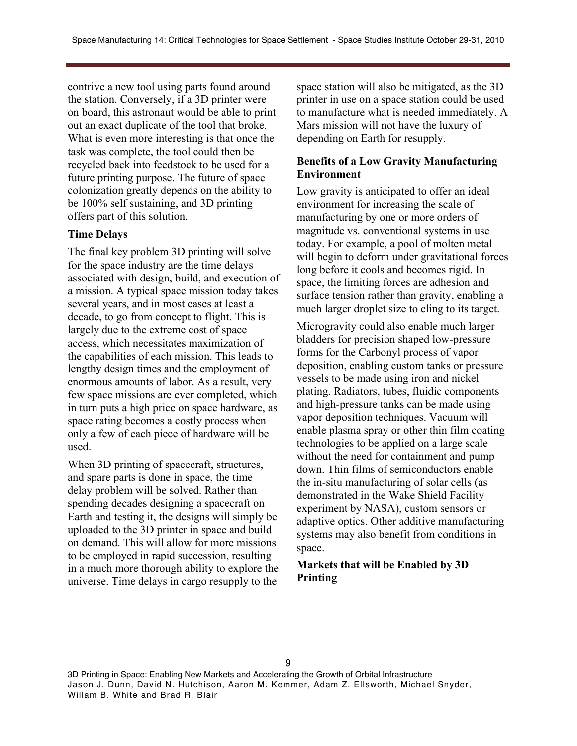contrive a new tool using parts found around the station. Conversely, if a 3D printer were on board, this astronaut would be able to print out an exact duplicate of the tool that broke. What is even more interesting is that once the task was complete, the tool could then be recycled back into feedstock to be used for a future printing purpose. The future of space colonization greatly depends on the ability to be 100% self sustaining, and 3D printing offers part of this solution.

#### **Time Delays**

The final key problem 3D printing will solve for the space industry are the time delays associated with design, build, and execution of a mission. A typical space mission today takes several years, and in most cases at least a decade, to go from concept to flight. This is largely due to the extreme cost of space access, which necessitates maximization of the capabilities of each mission. This leads to lengthy design times and the employment of enormous amounts of labor. As a result, very few space missions are ever completed, which in turn puts a high price on space hardware, as space rating becomes a costly process when only a few of each piece of hardware will be used.

When 3D printing of spacecraft, structures, and spare parts is done in space, the time delay problem will be solved. Rather than spending decades designing a spacecraft on Earth and testing it, the designs will simply be uploaded to the 3D printer in space and build on demand. This will allow for more missions to be employed in rapid succession, resulting in a much more thorough ability to explore the universe. Time delays in cargo resupply to the

space station will also be mitigated, as the 3D printer in use on a space station could be used to manufacture what is needed immediately. A Mars mission will not have the luxury of depending on Earth for resupply.

# **Benefits of a Low Gravity Manufacturing Environment**

Low gravity is anticipated to offer an ideal environment for increasing the scale of manufacturing by one or more orders of magnitude vs. conventional systems in use today. For example, a pool of molten metal will begin to deform under gravitational forces long before it cools and becomes rigid. In space, the limiting forces are adhesion and surface tension rather than gravity, enabling a much larger droplet size to cling to its target.

Microgravity could also enable much larger bladders for precision shaped low-pressure forms for the Carbonyl process of vapor deposition, enabling custom tanks or pressure vessels to be made using iron and nickel plating. Radiators, tubes, fluidic components and high-pressure tanks can be made using vapor deposition techniques. Vacuum will enable plasma spray or other thin film coating technologies to be applied on a large scale without the need for containment and pump down. Thin films of semiconductors enable the in-situ manufacturing of solar cells (as demonstrated in the Wake Shield Facility experiment by NASA), custom sensors or adaptive optics. Other additive manufacturing systems may also benefit from conditions in space.

# **Markets that will be Enabled by 3D Printing**

<sup>3</sup>D Printing in Space: Enabling New Markets and Accelerating the Growth of Orbital Infrastructure Jason J. Dunn, David N. Hutchison, Aaron M. Kemmer, Adam Z. Ellsworth, Michael Snyder, Willam B. White and Brad R. Blair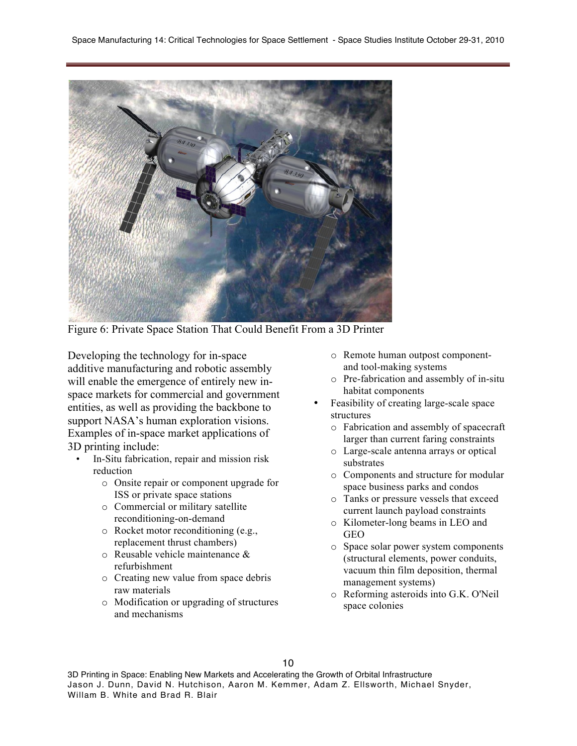

Figure 6: Private Space Station That Could Benefit From a 3D Printer

Developing the technology for in-space additive manufacturing and robotic assembly will enable the emergence of entirely new inspace markets for commercial and government entities, as well as providing the backbone to support NASA's human exploration visions. Examples of in-space market applications of 3D printing include:

- In-Situ fabrication, repair and mission risk reduction
	- o Onsite repair or component upgrade for ISS or private space stations
	- o Commercial or military satellite reconditioning-on-demand
	- o Rocket motor reconditioning (e.g., replacement thrust chambers)
	- $\circ$  Reusable vehicle maintenance  $\&$ refurbishment
	- o Creating new value from space debris raw materials
	- o Modification or upgrading of structures and mechanisms
- o Remote human outpost componentand tool-making systems
- o Pre-fabrication and assembly of in-situ habitat components
- Feasibility of creating large-scale space structures
	- o Fabrication and assembly of spacecraft larger than current faring constraints
	- o Large-scale antenna arrays or optical substrates
	- o Components and structure for modular space business parks and condos
	- o Tanks or pressure vessels that exceed current launch payload constraints
	- o Kilometer-long beams in LEO and GEO
	- o Space solar power system components (structural elements, power conduits, vacuum thin film deposition, thermal management systems)
	- o Reforming asteroids into G.K. O'Neil space colonies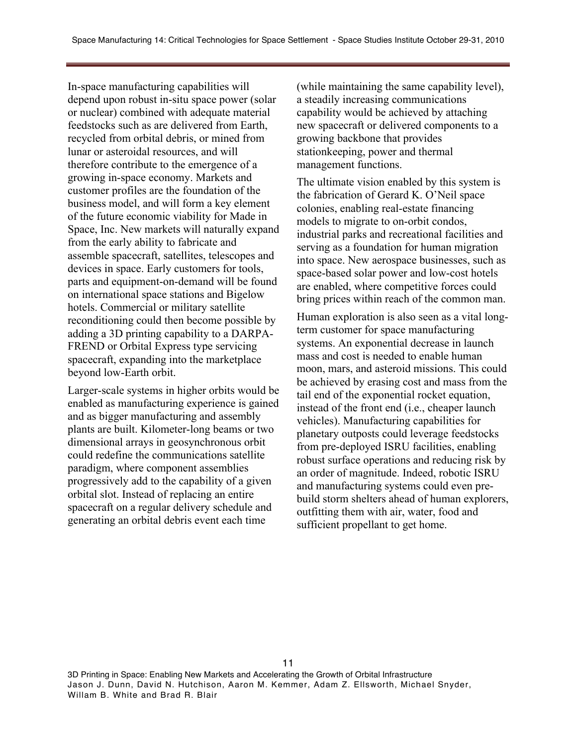In-space manufacturing capabilities will depend upon robust in-situ space power (solar or nuclear) combined with adequate material feedstocks such as are delivered from Earth, recycled from orbital debris, or mined from lunar or asteroidal resources, and will therefore contribute to the emergence of a growing in-space economy. Markets and customer profiles are the foundation of the business model, and will form a key element of the future economic viability for Made in Space, Inc. New markets will naturally expand from the early ability to fabricate and assemble spacecraft, satellites, telescopes and devices in space. Early customers for tools, parts and equipment-on-demand will be found on international space stations and Bigelow hotels. Commercial or military satellite reconditioning could then become possible by adding a 3D printing capability to a DARPA-FREND or Orbital Express type servicing spacecraft, expanding into the marketplace beyond low-Earth orbit.

Larger-scale systems in higher orbits would be enabled as manufacturing experience is gained and as bigger manufacturing and assembly plants are built. Kilometer-long beams or two dimensional arrays in geosynchronous orbit could redefine the communications satellite paradigm, where component assemblies progressively add to the capability of a given orbital slot. Instead of replacing an entire spacecraft on a regular delivery schedule and generating an orbital debris event each time

(while maintaining the same capability level), a steadily increasing communications capability would be achieved by attaching new spacecraft or delivered components to a growing backbone that provides stationkeeping, power and thermal management functions.

The ultimate vision enabled by this system is the fabrication of Gerard K. O'Neil space colonies, enabling real-estate financing models to migrate to on-orbit condos, industrial parks and recreational facilities and serving as a foundation for human migration into space. New aerospace businesses, such as space-based solar power and low-cost hotels are enabled, where competitive forces could bring prices within reach of the common man.

Human exploration is also seen as a vital longterm customer for space manufacturing systems. An exponential decrease in launch mass and cost is needed to enable human moon, mars, and asteroid missions. This could be achieved by erasing cost and mass from the tail end of the exponential rocket equation, instead of the front end (i.e., cheaper launch vehicles). Manufacturing capabilities for planetary outposts could leverage feedstocks from pre-deployed ISRU facilities, enabling robust surface operations and reducing risk by an order of magnitude. Indeed, robotic ISRU and manufacturing systems could even prebuild storm shelters ahead of human explorers, outfitting them with air, water, food and sufficient propellant to get home.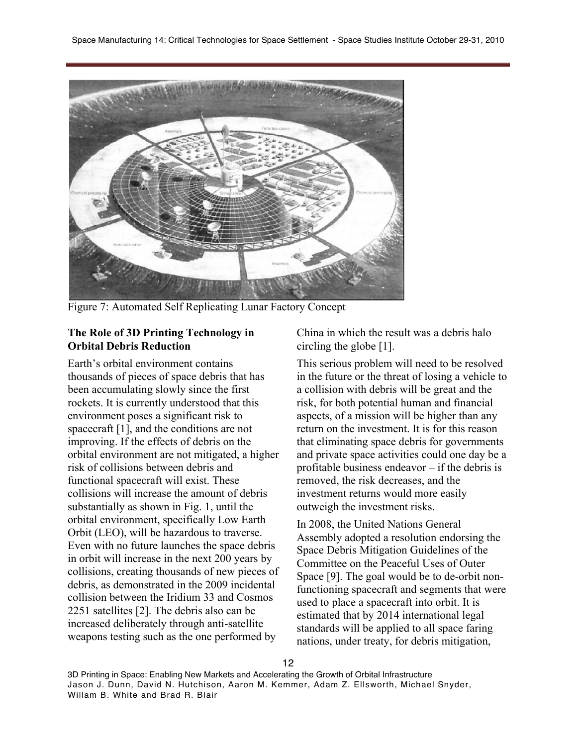

Figure 7: Automated Self Replicating Lunar Factory Concept

# **The Role of 3D Printing Technology in Orbital Debris Reduction**

Earth's orbital environment contains thousands of pieces of space debris that has been accumulating slowly since the first rockets. It is currently understood that this environment poses a significant risk to spacecraft [1], and the conditions are not improving. If the effects of debris on the orbital environment are not mitigated, a higher risk of collisions between debris and functional spacecraft will exist. These collisions will increase the amount of debris substantially as shown in Fig. 1, until the orbital environment, specifically Low Earth Orbit (LEO), will be hazardous to traverse. Even with no future launches the space debris in orbit will increase in the next 200 years by collisions, creating thousands of new pieces of debris, as demonstrated in the 2009 incidental collision between the Iridium 33 and Cosmos 2251 satellites [2]. The debris also can be increased deliberately through anti-satellite weapons testing such as the one performed by

China in which the result was a debris halo circling the globe [1].

This serious problem will need to be resolved in the future or the threat of losing a vehicle to a collision with debris will be great and the risk, for both potential human and financial aspects, of a mission will be higher than any return on the investment. It is for this reason that eliminating space debris for governments and private space activities could one day be a profitable business endeavor – if the debris is removed, the risk decreases, and the investment returns would more easily outweigh the investment risks.

In 2008, the United Nations General Assembly adopted a resolution endorsing the Space Debris Mitigation Guidelines of the Committee on the Peaceful Uses of Outer Space [9]. The goal would be to de-orbit nonfunctioning spacecraft and segments that were used to place a spacecraft into orbit. It is estimated that by 2014 international legal standards will be applied to all space faring nations, under treaty, for debris mitigation,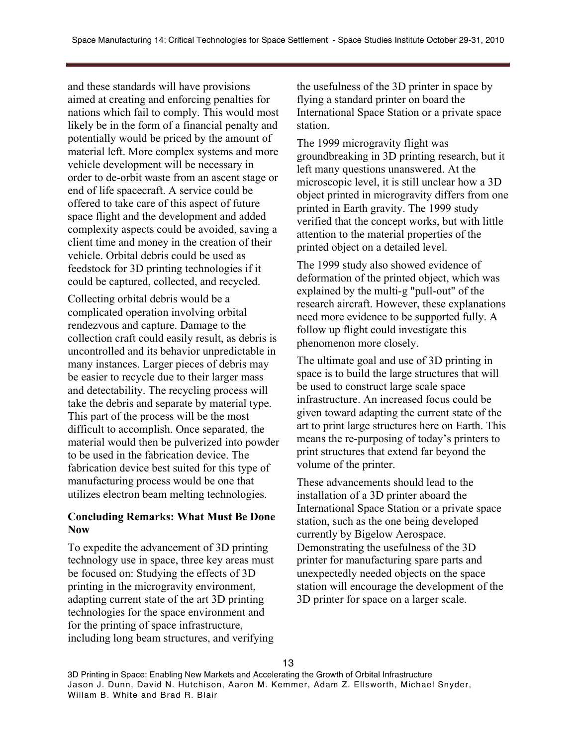and these standards will have provisions aimed at creating and enforcing penalties for nations which fail to comply. This would most likely be in the form of a financial penalty and potentially would be priced by the amount of material left. More complex systems and more vehicle development will be necessary in order to de-orbit waste from an ascent stage or end of life spacecraft. A service could be offered to take care of this aspect of future space flight and the development and added complexity aspects could be avoided, saving a client time and money in the creation of their vehicle. Orbital debris could be used as feedstock for 3D printing technologies if it could be captured, collected, and recycled.

Collecting orbital debris would be a complicated operation involving orbital rendezvous and capture. Damage to the collection craft could easily result, as debris is uncontrolled and its behavior unpredictable in many instances. Larger pieces of debris may be easier to recycle due to their larger mass and detectability. The recycling process will take the debris and separate by material type. This part of the process will be the most difficult to accomplish. Once separated, the material would then be pulverized into powder to be used in the fabrication device. The fabrication device best suited for this type of manufacturing process would be one that utilizes electron beam melting technologies.

# **Concluding Remarks: What Must Be Done Now**

To expedite the advancement of 3D printing technology use in space, three key areas must be focused on: Studying the effects of 3D printing in the microgravity environment, adapting current state of the art 3D printing technologies for the space environment and for the printing of space infrastructure, including long beam structures, and verifying the usefulness of the 3D printer in space by flying a standard printer on board the International Space Station or a private space station.

The 1999 microgravity flight was groundbreaking in 3D printing research, but it left many questions unanswered. At the microscopic level, it is still unclear how a 3D object printed in microgravity differs from one printed in Earth gravity. The 1999 study verified that the concept works, but with little attention to the material properties of the printed object on a detailed level.

The 1999 study also showed evidence of deformation of the printed object, which was explained by the multi-g "pull-out" of the research aircraft. However, these explanations need more evidence to be supported fully. A follow up flight could investigate this phenomenon more closely.

The ultimate goal and use of 3D printing in space is to build the large structures that will be used to construct large scale space infrastructure. An increased focus could be given toward adapting the current state of the art to print large structures here on Earth. This means the re-purposing of today's printers to print structures that extend far beyond the volume of the printer.

These advancements should lead to the installation of a 3D printer aboard the International Space Station or a private space station, such as the one being developed currently by Bigelow Aerospace. Demonstrating the usefulness of the 3D printer for manufacturing spare parts and unexpectedly needed objects on the space station will encourage the development of the 3D printer for space on a larger scale.

<sup>13</sup>